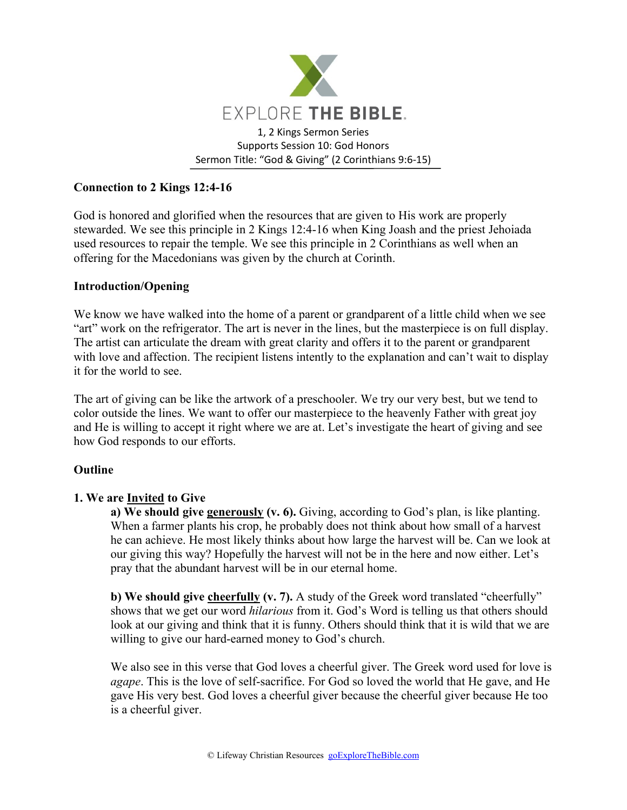

# **Connection to 2 Kings 12:4-16**

God is honored and glorified when the resources that are given to His work are properly stewarded. We see this principle in 2 Kings 12:4-16 when King Joash and the priest Jehoiada used resources to repair the temple. We see this principle in 2 Corinthians as well when an offering for the Macedonians was given by the church at Corinth.

## **Introduction/Opening**

We know we have walked into the home of a parent or grandparent of a little child when we see "art" work on the refrigerator. The art is never in the lines, but the masterpiece is on full display. The artist can articulate the dream with great clarity and offers it to the parent or grandparent with love and affection. The recipient listens intently to the explanation and can't wait to display it for the world to see.

The art of giving can be like the artwork of a preschooler. We try our very best, but we tend to color outside the lines. We want to offer our masterpiece to the heavenly Father with great joy and He is willing to accept it right where we are at. Let's investigate the heart of giving and see how God responds to our efforts.

# **Outline**

# **1. We are Invited to Give**

**a) We should give generously (v. 6).** Giving, according to God's plan, is like planting. When a farmer plants his crop, he probably does not think about how small of a harvest he can achieve. He most likely thinks about how large the harvest will be. Can we look at our giving this way? Hopefully the harvest will not be in the here and now either. Let's pray that the abundant harvest will be in our eternal home.

**b) We should give cheerfully (v. 7).** A study of the Greek word translated "cheerfully" shows that we get our word *hilarious* from it. God's Word is telling us that others should look at our giving and think that it is funny. Others should think that it is wild that we are willing to give our hard-earned money to God's church.

We also see in this verse that God loves a cheerful giver. The Greek word used for love is *agape*. This is the love of self-sacrifice. For God so loved the world that He gave, and He gave His very best. God loves a cheerful giver because the cheerful giver because He too is a cheerful giver.